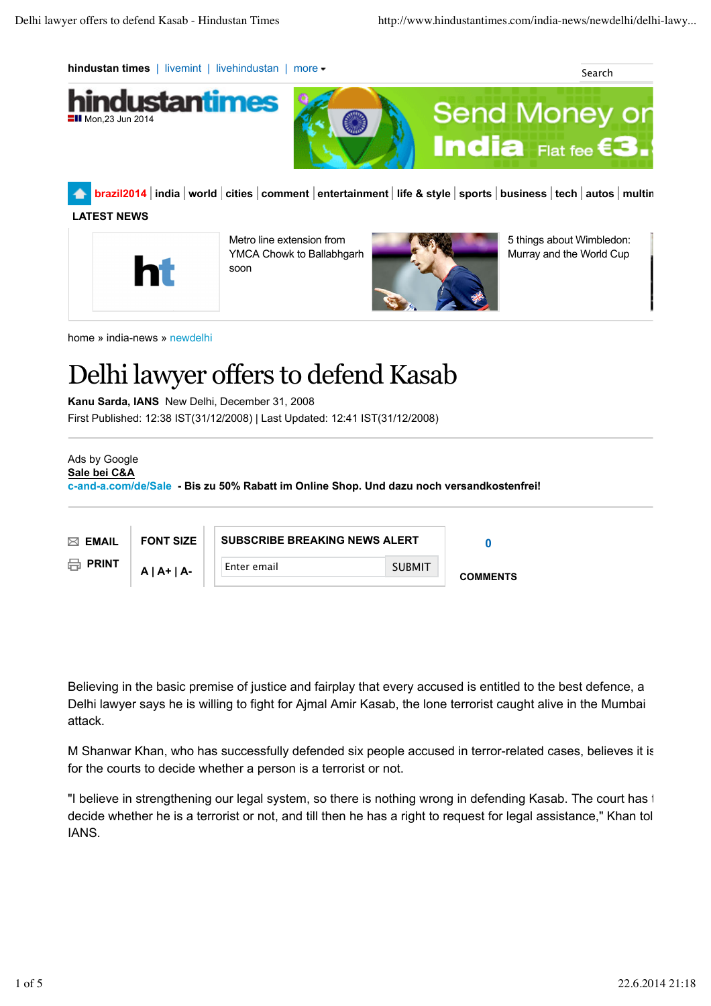**hindustan times** | livemint | livehindustan | more  $\bullet$  Search Search Search Search



**brazil2014 india world cities comment entertainment life & style sports business tech autos multimedia**

# **LATEST NEWS**

 $\blacksquare$ II Mon.23 Jun 201



Metro line extension from YMCA Chowk to Ballabhgarh soon



5 things about Wimbledon: Murray and the World Cup

home » india-news » newdelhi

# Delhi lawyer offers to defend Kasab

**Kanu Sarda, IANS** New Delhi, December 31, 2008

First Published: 12:38 IST(31/12/2008) | Last Updated: 12:41 IST(31/12/2008)

```
Ads by Google
```
**Sale bei C&A**

**c-and-a.com/de/Sale - Bis zu 50% Rabatt im Online Shop. Und dazu noch versandkostenfrei!**

| $\boxtimes$ EMAIL      | <b>FONT SIZE</b> | <b>SUBSCRIBE BREAKING NEWS ALERT</b> |               |                 |
|------------------------|------------------|--------------------------------------|---------------|-----------------|
| $\boxminus$ PRINT<br>₩ | $A   A+   A-$    | Enter email                          | <b>SUBMIT</b> | <b>COMMENTS</b> |

Believing in the basic premise of justice and fairplay that every accused is entitled to the best defence, a Delhi lawyer says he is willing to fight for Ajmal Amir Kasab, the lone terrorist caught alive in the Mumbai attack.

M Shanwar Khan, who has successfully defended six people accused in terror-related cases, believes it is for the courts to decide whether a person is a terrorist or not.

"I believe in strengthening our legal system, so there is nothing wrong in defending Kasab. The court has to decide whether he is a terrorist or not, and till then he has a right to request for legal assistance," Khan tol IANS.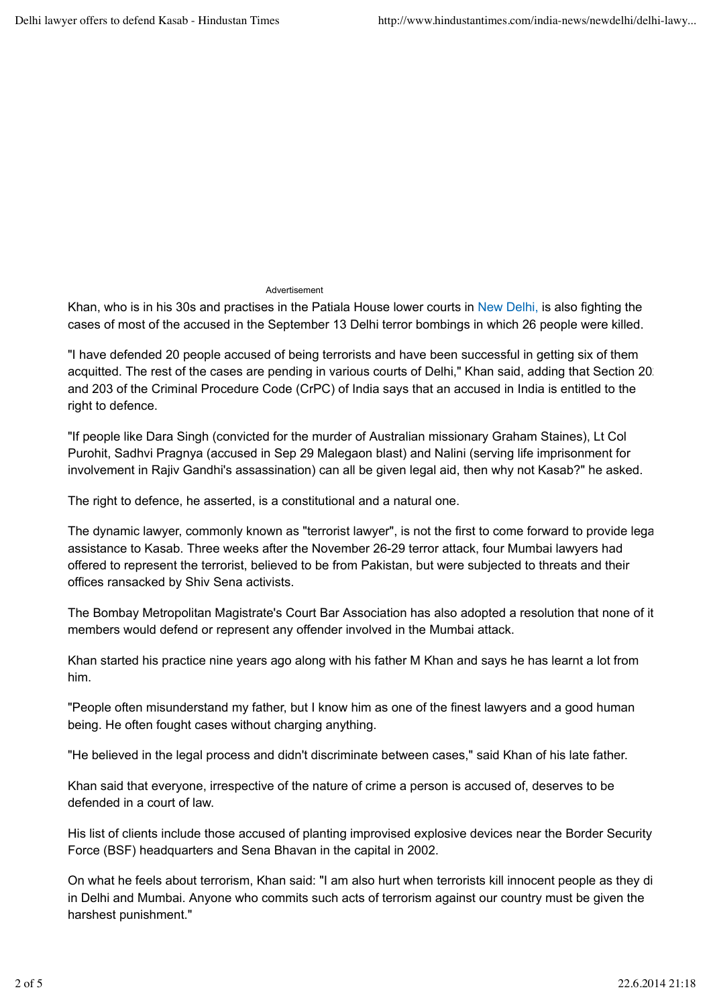## Advertisement

Khan, who is in his 30s and practises in the Patiala House lower courts in New Delhi, is also fighting the cases of most of the accused in the September 13 Delhi terror bombings in which 26 people were killed.

"I have defended 20 people accused of being terrorists and have been successful in getting six of them acquitted. The rest of the cases are pending in various courts of Delhi," Khan said, adding that Section 202 and 203 of the Criminal Procedure Code (CrPC) of India says that an accused in India is entitled to the right to defence.

"If people like Dara Singh (convicted for the murder of Australian missionary Graham Staines), Lt Col Purohit, Sadhvi Pragnya (accused in Sep 29 Malegaon blast) and Nalini (serving life imprisonment for involvement in Rajiv Gandhi's assassination) can all be given legal aid, then why not Kasab?" he asked.

The right to defence, he asserted, is a constitutional and a natural one.

The dynamic lawyer, commonly known as "terrorist lawyer", is not the first to come forward to provide legal assistance to Kasab. Three weeks after the November 26-29 terror attack, four Mumbai lawyers had offered to represent the terrorist, believed to be from Pakistan, but were subjected to threats and their offices ransacked by Shiv Sena activists.

The Bombay Metropolitan Magistrate's Court Bar Association has also adopted a resolution that none of its members would defend or represent any offender involved in the Mumbai attack.

Khan started his practice nine years ago along with his father M Khan and says he has learnt a lot from him.

"People often misunderstand my father, but I know him as one of the finest lawyers and a good human being. He often fought cases without charging anything.

"He believed in the legal process and didn't discriminate between cases," said Khan of his late father.

Khan said that everyone, irrespective of the nature of crime a person is accused of, deserves to be defended in a court of law.

His list of clients include those accused of planting improvised explosive devices near the Border Security Force (BSF) headquarters and Sena Bhavan in the capital in 2002.

On what he feels about terrorism, Khan said: "I am also hurt when terrorists kill innocent people as they di in Delhi and Mumbai. Anyone who commits such acts of terrorism against our country must be given the harshest punishment."